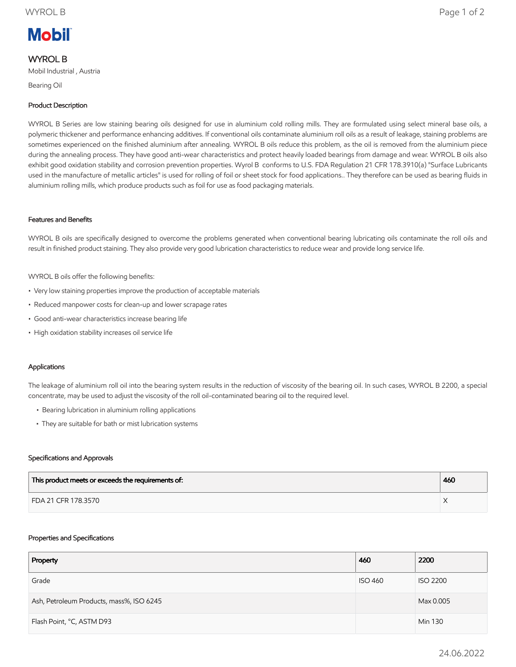# **Mobil**

## WYROL B

Mobil Industrial , Austria

Bearing Oil

### Product Description

WYROL B Series are low staining bearing oils designed for use in aluminium cold rolling mills. They are formulated using select mineral base oils, a polymeric thickener and performance enhancing additives. If conventional oils contaminate aluminium roll oils as a result of leakage, staining problems are sometimes experienced on the finished aluminium after annealing. WYROL B oils reduce this problem, as the oil is removed from the aluminium piece during the annealing process. They have good anti-wear characteristics and protect heavily loaded bearings from damage and wear. WYROL B oils also exhibit good oxidation stability and corrosion prevention properties. Wyrol B conforms to U.S. FDA Regulation 21 CFR 178.3910(a) "Surface Lubricants used in the manufacture of metallic articles" is used for rolling of foil or sheet stock for food applications.. They therefore can be used as bearing fluids in aluminium rolling mills, which produce products such as foil for use as food packaging materials.

#### Features and Benefits

WYROL B oils are specifically designed to overcome the problems generated when conventional bearing lubricating oils contaminate the roll oils and result in finished product staining. They also provide very good lubrication characteristics to reduce wear and provide long service life.

WYROL B oils offer the following benefits:

- Very low staining properties improve the production of acceptable materials
- Reduced manpower costs for clean-up and lower scrapage rates
- Good anti-wear characteristics increase bearing life
- High oxidation stability increases oil service life

#### Applications

The leakage of aluminium roll oil into the bearing system results in the reduction of viscosity of the bearing oil. In such cases, WYROL B 2200, a special concentrate, may be used to adjust the viscosity of the roll oil-contaminated bearing oil to the required level.

- Bearing lubrication in aluminium rolling applications
- They are suitable for bath or mist lubrication systems

#### Specifications and Approvals

| This product meets or exceeds the requirements of: | 460 |
|----------------------------------------------------|-----|
| FDA 21 CFR 178.3570                                |     |

#### Properties and Specifications

| Property                                 | 460            | 2200            |
|------------------------------------------|----------------|-----------------|
| Grade                                    | <b>ISO 460</b> | <b>ISO 2200</b> |
| Ash, Petroleum Products, mass%, ISO 6245 |                | Max 0.005       |
| Flash Point, °C, ASTM D93                |                | Min 130         |